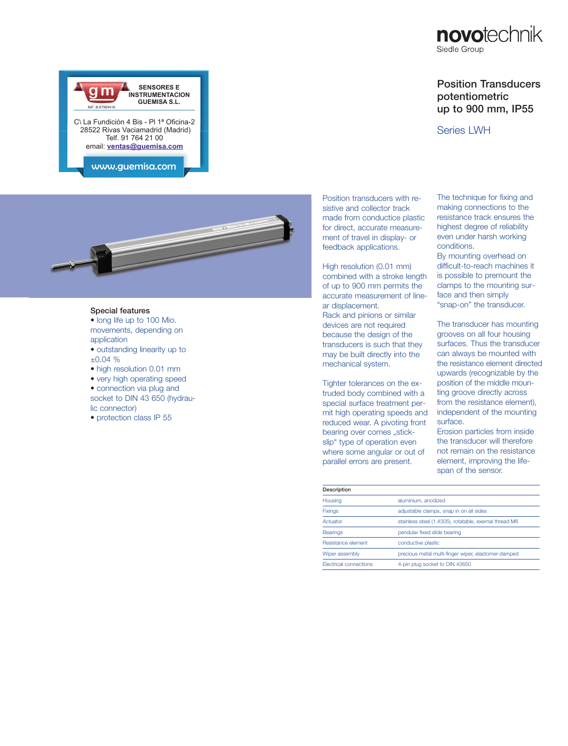# Position Transducers potentiometric up to 900 mm, IP55

### Series LWH

**GUEMISA S.L.** C\ La Fundición 4 Bis - Pl 1ª Oficina-2 28522 Rivas Vaciamadrid (Madrid) Telf. 91 764 21 00 email: **ventas@guemisa.com** NIF: B-87969416

**SENSORES E**<br>INSTRUMENTACION

ww.guemisa.com



#### Special features

• long life up to 100 Mio. movements, depending on application

- outstanding linearity up to ±0.04 %
- high resolution 0.01 mm
- very high operating speed
- connection via plug and socket to DIN 43 650 (hydraulic connector)
- protection class IP 55

Position transducers with resistive and collector track made from conductice plastic for direct, accurate measurement of travel in display- or feedback applications.

High resolution (0.01 mm) combined with a stroke length of up to 900 mm permits the accurate measurement of linear displacement.

Rack and pinions or similar devices are not required because the design of the transducers is such that they may be built directly into the mechanical system.

Tighter tolerances on the extruded body combined with a special surface treatment permit high operating speeds and reduced wear. A pivoting front bearing over comes "stickslip" type of operation even where some angular or out of parallel errors are present.

The technique for fixing and making connections to the resistance track ensures the highest degree of reliability even under harsh working conditions.

By mounting overhead on difficult-to-reach machines it is possible to premount the clamps to the mounting surface and then simply "snap-on" the transducer.

The transducer has mounting grooves on all four housing surfaces. Thus the transducer can always be mounted with the resistance element directed upwards (recognizable by the position of the middle mounting groove directly across from the resistance element), independent of the mounting surface.

Erosion particles from inside the transducer will therefore not remain on the resistance element, improving the lifespan of the sensor.

| Description                   |                                                        |
|-------------------------------|--------------------------------------------------------|
| Housing                       | aluminium, anodized                                    |
| <b>Fixings</b>                | adjustable clamps, snap in on all sides                |
| Actuator                      | stainless steel (1.4305), rotatable, exernal thread M6 |
| <b>Bearings</b>               | pendular fixed slide bearing                           |
| Resistance element            | conductive plastic                                     |
| Wiper assembly                | precious metal multi-finger wiper, elastomer-damped    |
| <b>Flectrical connections</b> | 4-pin plug socket to DIN 43650                         |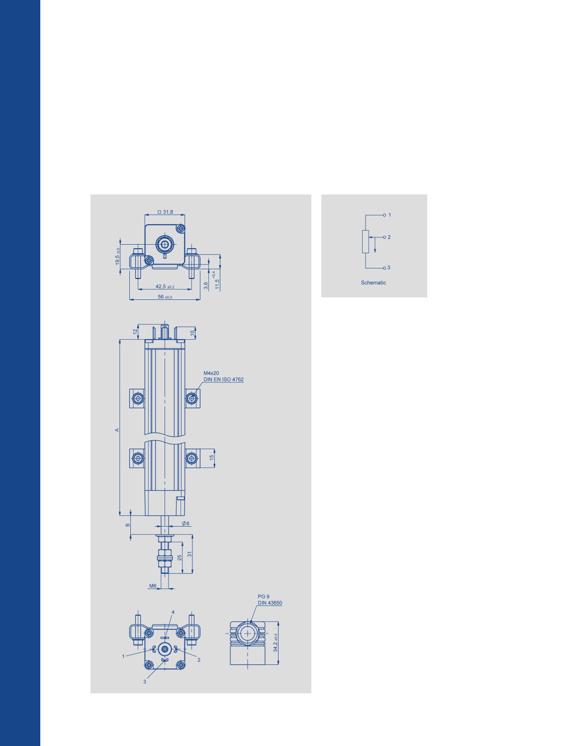

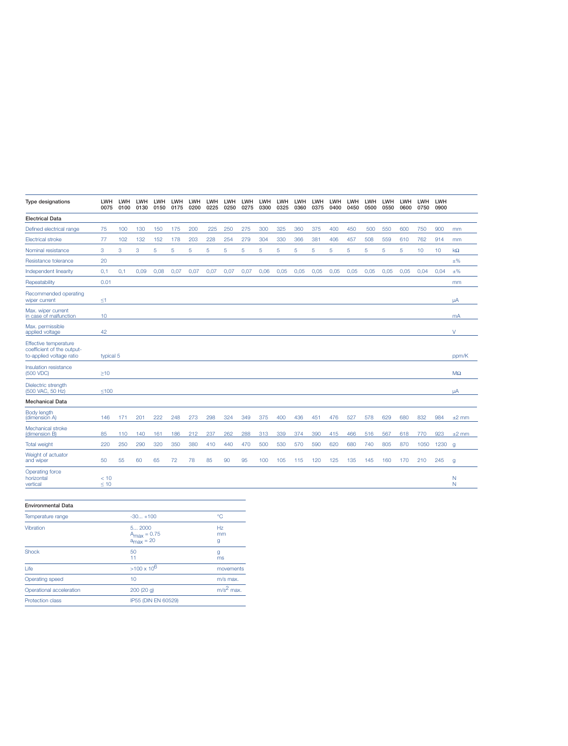| <b>Type designations</b>                                                        | <b>LWH</b><br>0075 | <b>LWH</b><br>0100 | <b>LWH</b><br>0130 | <b>LWH</b><br>0150 | <b>LWH</b><br>0175 | LWH<br>0200 | <b>LWH</b><br>0225 | <b>LWH</b><br>0250 | LWH<br>0275 | LWH<br>0300 | LWH<br>0325 | LWH<br>0360 | <b>LWH</b><br>0375 | LWH<br>0400 | <b>LWH</b><br>0450 | <b>LWH</b><br>0500 | <b>LWH</b><br>0550 | <b>LWH</b><br>0600 | <b>LWH</b><br>0750 | <b>LWH</b><br>0900 |                  |
|---------------------------------------------------------------------------------|--------------------|--------------------|--------------------|--------------------|--------------------|-------------|--------------------|--------------------|-------------|-------------|-------------|-------------|--------------------|-------------|--------------------|--------------------|--------------------|--------------------|--------------------|--------------------|------------------|
| <b>Electrical Data</b>                                                          |                    |                    |                    |                    |                    |             |                    |                    |             |             |             |             |                    |             |                    |                    |                    |                    |                    |                    |                  |
| Defined electrical range                                                        | 75                 | 100                | 130                | 150                | 175                | 200         | 225                | 250                | 275         | 300         | 325         | 360         | 375                | 400         | 450                | 500                | 550                | 600                | 750                | 900                | mm               |
| <b>Electrical stroke</b>                                                        | 77                 | 102                | 132                | 152                | 178                | 203         | 228                | 254                | 279         | 304         | 330         | 366         | 381                | 406         | 457                | 508                | 559                | 610                | 762                | 914                | mm               |
| Nominal resistance                                                              | 3                  | 3                  | 3                  | 5                  | 5                  | 5           | 5                  | 5                  | 5           | 5           | 5           | 5           | 5                  | 5           | 5                  | 5                  | 5                  | 5                  | 10                 | 10                 | kΩ               |
| Resistance tolerance                                                            | 20                 |                    |                    |                    |                    |             |                    |                    |             |             |             |             |                    |             |                    |                    |                    |                    |                    |                    | $\pm\%$          |
| Independent linearity                                                           | 0,1                | 0,1                | 0.09               | 0,08               | 0.07               | 0.07        | 0.07               | 0.07               | 0,07        | 0,06        | 0,05        | 0.05        | 0.05               | 0.05        | 0.05               | 0.05               | 0,05               | 0.05               | 0.04               | 0,04               | $±\%$            |
| Repeatability                                                                   | 0.01               |                    |                    |                    |                    |             |                    |                    |             |             |             |             |                    |             |                    |                    |                    |                    |                    |                    | mm               |
| Recommended operating<br>wiper current                                          | $\leq 1$           |                    |                    |                    |                    |             |                    |                    |             |             |             |             |                    |             |                    |                    |                    |                    |                    |                    | uA               |
| Max. wiper current<br>in case of malfunction                                    | 10                 |                    |                    |                    |                    |             |                    |                    |             |             |             |             |                    |             |                    |                    |                    |                    |                    |                    | mA               |
| Max. permissible<br>applied voltage                                             | 42                 |                    |                    |                    |                    |             |                    |                    |             |             |             |             |                    |             |                    |                    |                    |                    |                    |                    | V                |
| Effective temperature<br>coefficient of the output-<br>to-applied voltage ratio | typical 5          |                    |                    |                    |                    |             |                    |                    |             |             |             |             |                    |             |                    |                    |                    |                    |                    |                    | ppm/K            |
| Insulation resistance<br>(500 VDC)                                              | $>10$              |                    |                    |                    |                    |             |                    |                    |             |             |             |             |                    |             |                    |                    |                    |                    |                    |                    | $M\Omega$        |
| Dielectric strength<br>(500 VAC, 50 Hz)                                         | $≤100$             |                    |                    |                    |                    |             |                    |                    |             |             |             |             |                    |             |                    |                    |                    |                    |                    |                    | μA               |
| <b>Mechanical Data</b>                                                          |                    |                    |                    |                    |                    |             |                    |                    |             |             |             |             |                    |             |                    |                    |                    |                    |                    |                    |                  |
| Body length<br>(dimension A)                                                    | 146                | 171                | 201                | 222                | 248                | 273         | 298                | 324                | 349         | 375         | 400         | 436         | 451                | 476         | 527                | 578                | 629                | 680                | 832                | 984                | $±2$ mm          |
| Mechanical stroke<br>(dimension B)                                              | 85                 | 110                | 140                | 161                | 186                | 212         | 237                | 262                | 288         | 313         | 339         | 374         | 390                | 415         | 466                | 516                | 567                | 618                | 770                | 923                | $±2$ mm          |
| <b>Total weight</b>                                                             | 220                | 250                | 290                | 320                | 350                | 380         | 410                | 440                | 470         | 500         | 530         | 570         | 590                | 620         | 680                | 740                | 805                | 870                | 1050               | 1230               | $\mathbf{q}$     |
| Weight of actuator<br>and wiper                                                 | 50                 | 55                 | 60                 | 65                 | 72                 | 78          | 85                 | 90                 | 95          | 100         | 105         | 115         | 120                | 125         | 135                | 145                | 160                | 170                | 210                | 245                | g                |
| Operating force<br>horizontal<br>vertical                                       | < 10<br>$\leq 10$  |                    |                    |                    |                    |             |                    |                    |             |             |             |             |                    |             |                    |                    |                    |                    |                    |                    | $\mathbb N$<br>N |

| <b>Environmental Data</b> |                                                            |               |
|---------------------------|------------------------------------------------------------|---------------|
| Temperature range         | $-30 + 100$                                                | ۰C            |
| Vibration                 | 5 2000<br>$A_{\text{max}} = 0.75$<br>$a_{\text{max}} = 20$ | Hz<br>mm<br>g |
| <b>Shock</b>              | 50<br>11                                                   | g<br>ms       |
| Life                      | $>100 \times 10^{6}$                                       | movements     |
| Operating speed           | 10                                                         | m/s max.      |
| Operational acceleration  | 200(20q)                                                   | $m/s2$ max.   |
| <b>Protection class</b>   | IP55 (DIN EN 60529)                                        |               |
|                           |                                                            |               |